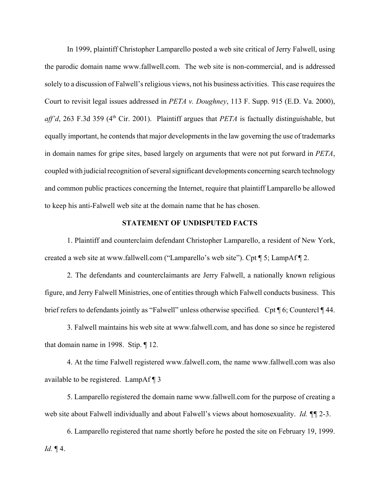In 1999, plaintiff Christopher Lamparello posted a web site critical of Jerry Falwell, using the parodic domain name www.fallwell.com. The web site is non-commercial, and is addressed solely to a discussion of Falwell's religious views, not his business activities. This case requires the Court to revisit legal issues addressed in *PETA v. Doughney*, 113 F. Supp. 915 (E.D. Va. 2000), *aff'd*, 263 F.3d 359 (4<sup>th</sup> Cir. 2001). Plaintiff argues that *PETA* is factually distinguishable, but equally important, he contends that major developments in the law governing the use of trademarks in domain names for gripe sites, based largely on arguments that were not put forward in *PETA*, coupled with judicial recognition of several significant developments concerning search technology and common public practices concerning the Internet, require that plaintiff Lamparello be allowed to keep his anti-Falwell web site at the domain name that he has chosen.

## **STATEMENT OF UNDISPUTED FACTS**

1. Plaintiff and counterclaim defendant Christopher Lamparello, a resident of New York, created a web site at www.fallwell.com ("Lamparello's web site"). Cpt ¶ 5; LampAf ¶ 2.

2. The defendants and counterclaimants are Jerry Falwell, a nationally known religious figure, and Jerry Falwell Ministries, one of entities through which Falwell conducts business. This brief refers to defendants jointly as "Falwell" unless otherwise specified. Cpt ¶ 6; Countercl ¶ 44.

3. Falwell maintains his web site at www.falwell.com, and has done so since he registered that domain name in 1998. Stip. ¶ 12.

4. At the time Falwell registered www.falwell.com, the name www.fallwell.com was also available to be registered. LampAf ¶ 3

5. Lamparello registered the domain name www.fallwell.com for the purpose of creating a web site about Falwell individually and about Falwell's views about homosexuality. *Id. ¶¶* 2-3.

6. Lamparello registered that name shortly before he posted the site on February 19, 1999. *Id.* ¶ 4.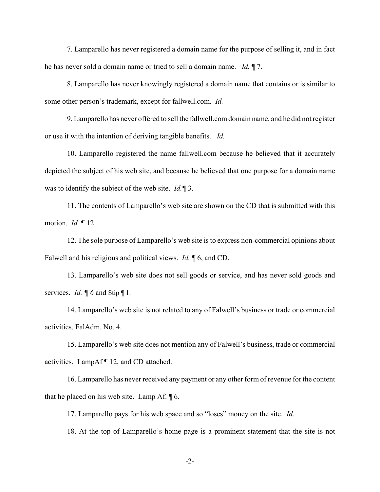7. Lamparello has never registered a domain name for the purpose of selling it, and in fact he has never sold a domain name or tried to sell a domain name. *Id.* ¶ 7.

8. Lamparello has never knowingly registered a domain name that contains or is similar to some other person's trademark, except for fallwell.com. *Id.*

9. Lamparello has never offered to sell the fallwell.com domain name, and he did not register or use it with the intention of deriving tangible benefits. *Id.*

10. Lamparello registered the name fallwell.com because he believed that it accurately depicted the subject of his web site, and because he believed that one purpose for a domain name was to identify the subject of the web site. *Id.¶* 3.

11. The contents of Lamparello's web site are shown on the CD that is submitted with this motion. *Id.* ¶ 12.

12. The sole purpose of Lamparello's web site is to express non-commercial opinions about Falwell and his religious and political views. *Id.* ¶ 6, and CD.

13. Lamparello's web site does not sell goods or service, and has never sold goods and services. *Id. ¶ 6* and Stip ¶ 1.

14. Lamparello's web site is not related to any of Falwell's business or trade or commercial activities. FalAdm. No. 4.

15. Lamparello's web site does not mention any of Falwell's business, trade or commercial activities. LampAf ¶ 12, and CD attached.

16. Lamparello has never received any payment or any other form of revenue for the content that he placed on his web site. Lamp Af. ¶ 6.

17. Lamparello pays for his web space and so "loses" money on the site. *Id.*

18. At the top of Lamparello's home page is a prominent statement that the site is not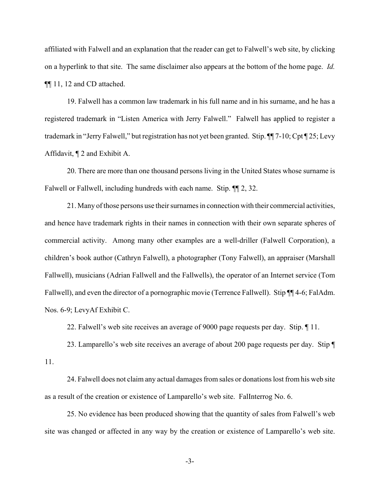affiliated with Falwell and an explanation that the reader can get to Falwell's web site, by clicking on a hyperlink to that site. The same disclaimer also appears at the bottom of the home page. *Id.* ¶¶ 11, 12 and CD attached.

19. Falwell has a common law trademark in his full name and in his surname, and he has a registered trademark in "Listen America with Jerry Falwell." Falwell has applied to register a trademark in "Jerry Falwell," but registration has not yet been granted. Stip. ¶¶ 7-10; Cpt ¶ 25; Levy Affidavit, ¶ 2 and Exhibit A.

20. There are more than one thousand persons living in the United States whose surname is Falwell or Fallwell, including hundreds with each name. Stip.  $\P$  2, 32.

21. Many of those persons use their surnames in connection with their commercial activities, and hence have trademark rights in their names in connection with their own separate spheres of commercial activity. Among many other examples are a well-driller (Falwell Corporation), a children's book author (Cathryn Falwell), a photographer (Tony Falwell), an appraiser (Marshall Fallwell), musicians (Adrian Fallwell and the Fallwells), the operator of an Internet service (Tom Fallwell), and even the director of a pornographic movie (Terrence Fallwell). Stip  $\P\P$  4-6; FalAdm. Nos. 6-9; LevyAf Exhibit C.

22. Falwell's web site receives an average of 9000 page requests per day. Stip. ¶ 11.

23. Lamparello's web site receives an average of about 200 page requests per day. Stip ¶ 11.

24. Falwell does not claim any actual damages from sales or donations lost from his web site as a result of the creation or existence of Lamparello's web site. FalInterrog No. 6.

25. No evidence has been produced showing that the quantity of sales from Falwell's web site was changed or affected in any way by the creation or existence of Lamparello's web site.

-3-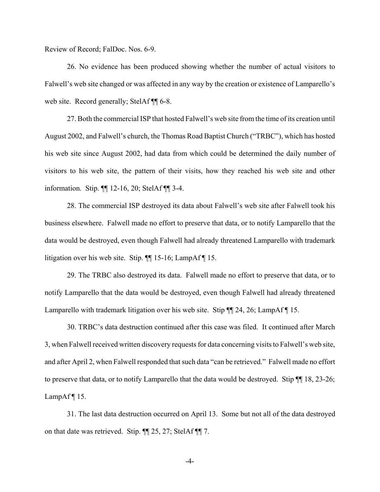Review of Record; FalDoc. Nos. 6-9.

26. No evidence has been produced showing whether the number of actual visitors to Falwell's web site changed or was affected in any way by the creation or existence of Lamparello's web site. Record generally; StelAf ¶ 6-8.

27. Both the commercial ISP that hosted Falwell's web site from the time of its creation until August 2002, and Falwell's church, the Thomas Road Baptist Church ("TRBC"), which has hosted his web site since August 2002, had data from which could be determined the daily number of visitors to his web site, the pattern of their visits, how they reached his web site and other information. Stip. ¶¶ 12-16, 20; StelAf ¶¶ 3-4.

28. The commercial ISP destroyed its data about Falwell's web site after Falwell took his business elsewhere. Falwell made no effort to preserve that data, or to notify Lamparello that the data would be destroyed, even though Falwell had already threatened Lamparello with trademark litigation over his web site. Stip. ¶¶ 15-16; LampAf ¶ 15.

29. The TRBC also destroyed its data. Falwell made no effort to preserve that data, or to notify Lamparello that the data would be destroyed, even though Falwell had already threatened Lamparello with trademark litigation over his web site. Stip  $\P$  24, 26; LampAf  $\P$  15.

30. TRBC's data destruction continued after this case was filed. It continued after March 3, when Falwell received written discovery requests for data concerning visits to Falwell's web site, and after April 2, when Falwell responded that such data "can be retrieved." Falwell made no effort to preserve that data, or to notify Lamparello that the data would be destroyed. Stip ¶¶ 18, 23-26; LampAf $\P$ 15.

31. The last data destruction occurred on April 13. Some but not all of the data destroyed on that date was retrieved. Stip. ¶¶ 25, 27; StelAf ¶¶ 7.

-4-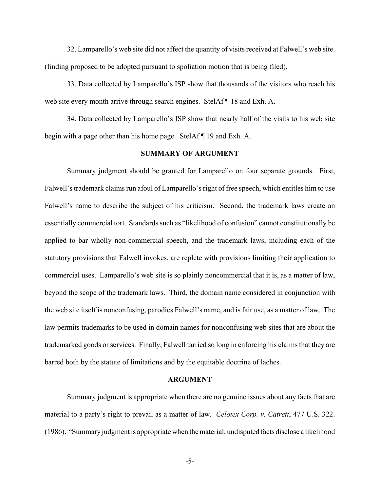32. Lamparello's web site did not affect the quantity of visits received at Falwell's web site. (finding proposed to be adopted pursuant to spoliation motion that is being filed).

33. Data collected by Lamparello's ISP show that thousands of the visitors who reach his web site every month arrive through search engines. StelAf ¶ 18 and Exh. A.

34. Data collected by Lamparello's ISP show that nearly half of the visits to his web site begin with a page other than his home page. StelAf ¶ 19 and Exh. A.

## **SUMMARY OF ARGUMENT**

Summary judgment should be granted for Lamparello on four separate grounds. First, Falwell's trademark claims run afoul of Lamparello's right of free speech, which entitles him to use Falwell's name to describe the subject of his criticism. Second, the trademark laws create an essentially commercial tort. Standards such as "likelihood of confusion" cannot constitutionally be applied to bar wholly non-commercial speech, and the trademark laws, including each of the statutory provisions that Falwell invokes, are replete with provisions limiting their application to commercial uses. Lamparello's web site is so plainly noncommercial that it is, as a matter of law, beyond the scope of the trademark laws. Third, the domain name considered in conjunction with the web site itself is nonconfusing, parodies Falwell's name, and is fair use, as a matter of law. The law permits trademarks to be used in domain names for nonconfusing web sites that are about the trademarked goods or services. Finally, Falwell tarried so long in enforcing his claims that they are barred both by the statute of limitations and by the equitable doctrine of laches.

#### **ARGUMENT**

Summary judgment is appropriate when there are no genuine issues about any facts that are material to a party's right to prevail as a matter of law. *Celotex Corp. v. Catrett*, 477 U.S. 322. (1986). "Summary judgment is appropriate when the material, undisputed facts disclose a likelihood

-5-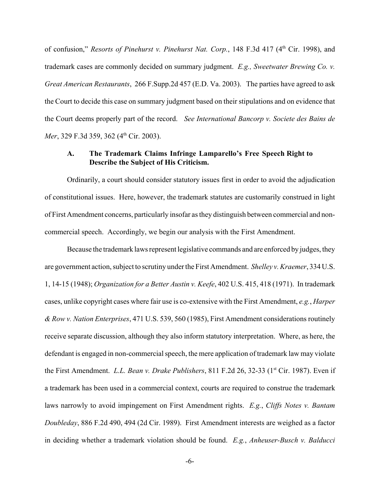of confusion," *Resorts of Pinehurst v. Pinehurst Nat. Corp.*, 148 F.3d 417 (4<sup>th</sup> Cir. 1998), and trademark cases are commonly decided on summary judgment. *E.g., Sweetwater Brewing Co. v. Great American Restaurants*, 266 F.Supp.2d 457 (E.D. Va. 2003). The parties have agreed to ask the Court to decide this case on summary judgment based on their stipulations and on evidence that the Court deems properly part of the record. *See International Bancorp v. Societe des Bains de Mer*, 329 F.3d 359, 362 (4<sup>th</sup> Cir. 2003).

# **A. The Trademark Claims Infringe Lamparello's Free Speech Right to Describe the Subject of His Criticism.**

Ordinarily, a court should consider statutory issues first in order to avoid the adjudication of constitutional issues. Here, however, the trademark statutes are customarily construed in light of First Amendment concerns, particularly insofar as they distinguish between commercial and noncommercial speech. Accordingly, we begin our analysis with the First Amendment.

Because the trademark laws represent legislative commands and are enforced by judges, they are government action, subject to scrutiny under the First Amendment. *Shelley v. Kraemer*, 334 U.S. 1, 14-15 (1948); *Organization for a Better Austin v. Keefe*, 402 U.S. 415, 418 (1971). In trademark cases, unlike copyright cases where fair use is co-extensive with the First Amendment, *e.g.*, *Harper & Row v. Nation Enterprises*, 471 U.S. 539, 560 (1985), First Amendment considerations routinely receive separate discussion, although they also inform statutory interpretation. Where, as here, the defendant is engaged in non-commercial speech, the mere application of trademark law may violate the First Amendment. *L.L. Bean v. Drake Publishers*, 811 F.2d 26, 32-33 (1<sup>st</sup> Cir. 1987). Even if a trademark has been used in a commercial context, courts are required to construe the trademark laws narrowly to avoid impingement on First Amendment rights. *E.g.*, *Cliffs Notes v. Bantam Doubleday*, 886 F.2d 490, 494 (2d Cir. 1989). First Amendment interests are weighed as a factor in deciding whether a trademark violation should be found. *E.g.*, *Anheuser-Busch v. Balducci*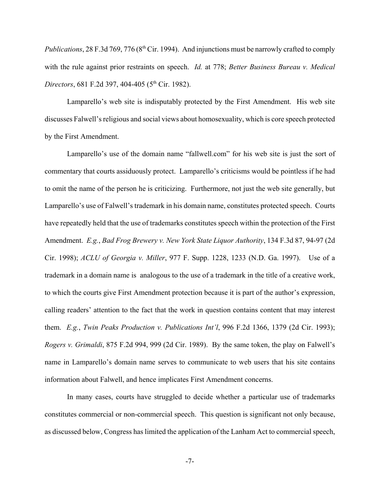*Publications*, 28 F.3d 769, 776 (8<sup>th</sup> Cir. 1994). And injunctions must be narrowly crafted to comply with the rule against prior restraints on speech. *Id.* at 778; *Better Business Bureau v. Medical Directors*, 681 F.2d 397, 404-405 (5<sup>th</sup> Cir. 1982).

Lamparello's web site is indisputably protected by the First Amendment. His web site discusses Falwell's religious and social views about homosexuality, which is core speech protected by the First Amendment.

Lamparello's use of the domain name "fallwell.com" for his web site is just the sort of commentary that courts assiduously protect. Lamparello's criticisms would be pointless if he had to omit the name of the person he is criticizing. Furthermore, not just the web site generally, but Lamparello's use of Falwell's trademark in his domain name, constitutes protected speech. Courts have repeatedly held that the use of trademarks constitutes speech within the protection of the First Amendment. *E.g.*, *Bad Frog Brewery v. New York State Liquor Authority*, 134 F.3d 87, 94-97 (2d Cir. 1998); *ACLU of Georgia v. Miller*, 977 F. Supp. 1228, 1233 (N.D. Ga. 1997). Use of a trademark in a domain name is analogous to the use of a trademark in the title of a creative work, to which the courts give First Amendment protection because it is part of the author's expression, calling readers' attention to the fact that the work in question contains content that may interest them. *E.g.*, *Twin Peaks Production v. Publications Int'l*, 996 F.2d 1366, 1379 (2d Cir. 1993); *Rogers v. Grimaldi*, 875 F.2d 994, 999 (2d Cir. 1989). By the same token, the play on Falwell's name in Lamparello's domain name serves to communicate to web users that his site contains information about Falwell, and hence implicates First Amendment concerns.

In many cases, courts have struggled to decide whether a particular use of trademarks constitutes commercial or non-commercial speech. This question is significant not only because, as discussed below, Congress has limited the application of the Lanham Act to commercial speech,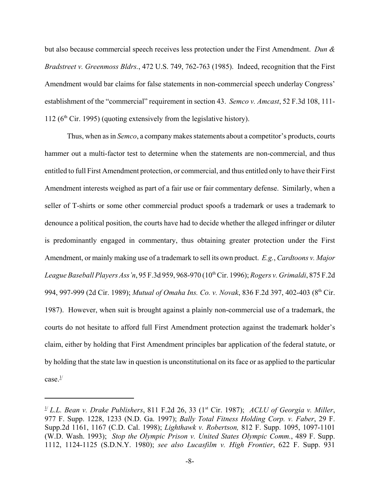but also because commercial speech receives less protection under the First Amendment. *Dun & Bradstreet v. Greenmoss Bldrs.*, 472 U.S. 749, 762-763 (1985). Indeed, recognition that the First Amendment would bar claims for false statements in non-commercial speech underlay Congress' establishment of the "commercial" requirement in section 43. *Semco v. Amcast*, 52 F.3d 108, 111- 112 ( $6<sup>th</sup>$  Cir. 1995) (quoting extensively from the legislative history).

Thus, when as in *Semco*, a company makes statements about a competitor's products, courts hammer out a multi-factor test to determine when the statements are non-commercial, and thus entitled to full First Amendment protection, or commercial, and thus entitled only to have their First Amendment interests weighed as part of a fair use or fair commentary defense. Similarly, when a seller of T-shirts or some other commercial product spoofs a trademark or uses a trademark to denounce a political position, the courts have had to decide whether the alleged infringer or diluter is predominantly engaged in commentary, thus obtaining greater protection under the First Amendment, or mainly making use of a trademark to sell its own product. *E.g.*, *Cardtoons v. Major League Baseball Players Ass'n*, 95 F.3d 959, 968-970 (10th Cir. 1996); *Rogers v. Grimaldi*, 875 F.2d 994, 997-999 (2d Cir. 1989); *Mutual of Omaha Ins. Co. v. Novak*, 836 F.2d 397, 402-403 (8th Cir. 1987). However, when suit is brought against a plainly non-commercial use of a trademark, the courts do not hesitate to afford full First Amendment protection against the trademark holder's claim, either by holding that First Amendment principles bar application of the federal statute, or by holding that the state law in question is unconstitutional on its face or as applied to the particular case. $\frac{1}{2}$ 

 $\frac{1}{2}$  *L.L. Bean v. Drake Publishers*, 811 F.2d 26, 33 (1<sup>st</sup> Cir. 1987); *ACLU of Georgia v. Miller*, 977 F. Supp. 1228, 1233 (N.D. Ga. 1997); *Bally Total Fitness Holding Corp. v. Faber*, 29 F. Supp.2d 1161, 1167 (C.D. Cal. 1998); *Lighthawk v. Robertson,* 812 F. Supp. 1095, 1097-1101 (W.D. Wash. 1993); *Stop the Olympic Prison v. United States Olympic Comm.*, 489 F. Supp. 1112, 1124-1125 (S.D.N.Y. 1980); *see also Lucasfilm v. High Frontier*, 622 F. Supp. 931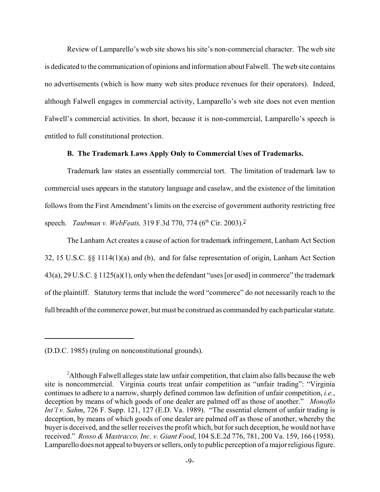Review of Lamparello's web site shows his site's non-commercial character. The web site is dedicated to the communication of opinions and information about Falwell. The web site contains no advertisements (which is how many web sites produce revenues for their operators). Indeed, although Falwell engages in commercial activity, Lamparello's web site does not even mention Falwell's commercial activities. In short, because it is non-commercial, Lamparello's speech is entitled to full constitutional protection.

## **B. The Trademark Laws Apply Only to Commercial Uses of Trademarks.**

Trademark law states an essentially commercial tort. The limitation of trademark law to commercial uses appears in the statutory language and caselaw, and the existence of the limitation follows from the First Amendment's limits on the exercise of government authority restricting free speech. *Taubman v. WebFeats*, 319 F.3d 770, 774 (6<sup>th</sup> Cir. 2003).<sup>2/</sup>

The Lanham Act creates a cause of action for trademark infringement, Lanham Act Section 32, 15 U.S.C. §§ 1114(1)(a) and (b), and for false representation of origin, Lanham Act Section 43(a), 29 U.S.C. § 1125(a)(1), only when the defendant "uses [or used] in commerce" the trademark of the plaintiff. Statutory terms that include the word "commerce" do not necessarily reach to the full breadth of the commerce power, but must be construed as commanded by each particular statute.

<sup>(</sup>D.D.C. 1985) (ruling on nonconstitutional grounds).

<sup>&</sup>lt;sup>2</sup>Although Falwell alleges state law unfair competition, that claim also falls because the web site is noncommercial. Virginia courts treat unfair competition as "unfair trading": "Virginia continues to adhere to a narrow, sharply defined common law definition of unfair competition, *i.e.*, deception by means of which goods of one dealer are palmed off as those of another." *Monoflo Int'l v. Sahm*, 726 F. Supp. 121, 127 (E.D. Va. 1989). "The essential element of unfair trading is deception, by means of which goods of one dealer are palmed off as those of another, whereby the buyer is deceived, and the seller receives the profit which, but for such deception, he would not have received." *Rosso & Mastracco, Inc. v. Giant Food*, 104 S.E.2d 776, 781, 200 Va. 159, 166 (1958). Lamparello does not appeal to buyers or sellers, only to public perception of a major religious figure.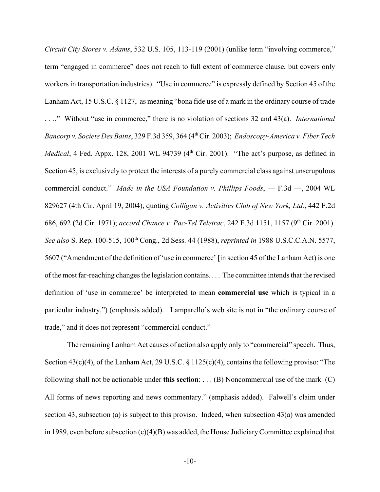*Circuit City Stores v. Adams*, 532 U.S. 105, 113-119 (2001) (unlike term "involving commerce," term "engaged in commerce" does not reach to full extent of commerce clause, but covers only workers in transportation industries). "Use in commerce" is expressly defined by Section 45 of the Lanham Act, 15 U.S.C. § 1127, as meaning "bona fide use of a mark in the ordinary course of trade . . .." Without "use in commerce," there is no violation of sections 32 and 43(a). *International Bancorp v. Societe Des Bains*, 329 F.3d 359, 364 (4th Cir. 2003); *Endoscopy-America v. Fiber Tech Medical*, 4 Fed. Appx. 128, 2001 WL 94739 (4<sup>th</sup> Cir. 2001). "The act's purpose, as defined in Section 45, is exclusively to protect the interests of a purely commercial class against unscrupulous commercial conduct." *Made in the USA Foundation v. Phillips Foods*, — F.3d —, 2004 WL 829627 (4th Cir. April 19, 2004), quoting *Colligan v. Activities Club of New York, Ltd.*, 442 F.2d 686, 692 (2d Cir. 1971); *accord Chance v. Pac-Tel Teletrac*, 242 F.3d 1151, 1157 (9th Cir. 2001). *See also* S. Rep. 100-515, 100th Cong., 2d Sess. 44 (1988), *reprinted in* 1988 U.S.C.C.A.N. 5577, 5607 ("Amendment of the definition of 'use in commerce' [in section 45 of the Lanham Act) is one of the most far-reaching changes the legislation contains. . . . The committee intends that the revised definition of 'use in commerce' be interpreted to mean **commercial use** which is typical in a particular industry.") (emphasis added). Lamparello's web site is not in "the ordinary course of trade," and it does not represent "commercial conduct."

The remaining Lanham Act causes of action also apply only to "commercial" speech. Thus, Section 43(c)(4), of the Lanham Act, 29 U.S.C. § 1125(c)(4), contains the following proviso: "The following shall not be actionable under **this section**: . . . (B) Noncommercial use of the mark (C) All forms of news reporting and news commentary." (emphasis added). Falwell's claim under section 43, subsection (a) is subject to this proviso. Indeed, when subsection 43(a) was amended in 1989, even before subsection (c)(4)(B) was added, the House Judiciary Committee explained that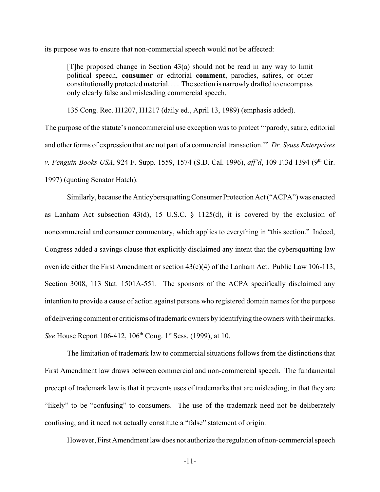its purpose was to ensure that non-commercial speech would not be affected:

[T]he proposed change in Section 43(a) should not be read in any way to limit political speech, **consumer** or editorial **comment**, parodies, satires, or other constitutionally protected material. . . . The section is narrowly drafted to encompass only clearly false and misleading commercial speech.

135 Cong. Rec. H1207, H1217 (daily ed., April 13, 1989) (emphasis added).

The purpose of the statute's noncommercial use exception was to protect "'parody, satire, editorial and other forms of expression that are not part of a commercial transaction.'" *Dr. Seuss Enterprises v. Penguin Books USA*, 924 F. Supp. 1559, 1574 (S.D. Cal. 1996), *aff'd*, 109 F.3d 1394 (9<sup>th</sup> Cir. 1997) (quoting Senator Hatch).

Similarly, because the Anticybersquatting Consumer Protection Act ("ACPA") was enacted as Lanham Act subsection 43(d), 15 U.S.C.  $\S$  1125(d), it is covered by the exclusion of noncommercial and consumer commentary, which applies to everything in "this section." Indeed, Congress added a savings clause that explicitly disclaimed any intent that the cybersquatting law override either the First Amendment or section 43(c)(4) of the Lanham Act. Public Law 106-113, Section 3008, 113 Stat. 1501A-551. The sponsors of the ACPA specifically disclaimed any intention to provide a cause of action against persons who registered domain names for the purpose of delivering comment or criticisms of trademark owners by identifying the owners with their marks. *See* House Report 106-412, 106<sup>th</sup> Cong. 1<sup>st</sup> Sess. (1999), at 10.

The limitation of trademark law to commercial situations follows from the distinctions that First Amendment law draws between commercial and non-commercial speech. The fundamental precept of trademark law is that it prevents uses of trademarks that are misleading, in that they are "likely" to be "confusing" to consumers. The use of the trademark need not be deliberately confusing, and it need not actually constitute a "false" statement of origin.

However, First Amendment law does not authorize the regulation of non-commercial speech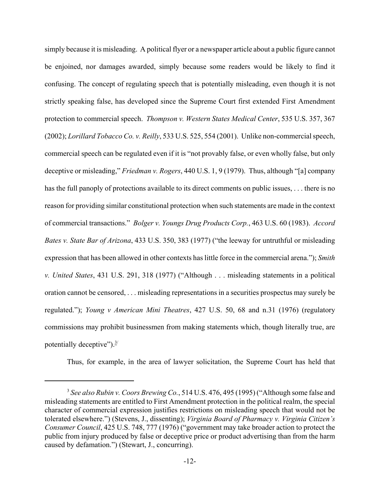simply because it is misleading. A political flyer or a newspaper article about a public figure cannot be enjoined, nor damages awarded, simply because some readers would be likely to find it confusing. The concept of regulating speech that is potentially misleading, even though it is not strictly speaking false, has developed since the Supreme Court first extended First Amendment protection to commercial speech. *Thompson v. Western States Medical Center*, 535 U.S. 357, 367 (2002); *Lorillard Tobacco Co. v. Reilly*, 533 U.S. 525, 554 (2001). Unlike non-commercial speech, commercial speech can be regulated even if it is "not provably false, or even wholly false, but only deceptive or misleading," *Friedman v. Rogers*, 440 U.S. 1, 9 (1979). Thus, although "[a] company has the full panoply of protections available to its direct comments on public issues, . . . there is no reason for providing similar constitutional protection when such statements are made in the context of commercial transactions." *Bolger v. Youngs Drug Products Corp.*, 463 U.S. 60 (1983). *Accord Bates v. State Bar of Arizona*, 433 U.S. 350, 383 (1977) ("the leeway for untruthful or misleading expression that has been allowed in other contexts has little force in the commercial arena."); *Smith v. United States*, 431 U.S. 291, 318 (1977) ("Although . . . misleading statements in a political oration cannot be censored, . . . misleading representations in a securities prospectus may surely be regulated."); *Young v American Mini Theatres*, 427 U.S. 50, 68 and n.31 (1976) (regulatory commissions may prohibit businessmen from making statements which, though literally true, are potentially deceptive"). $3/$ 

Thus, for example, in the area of lawyer solicitation, the Supreme Court has held that

<sup>3</sup> *See also Rubin v. Coors Brewing Co.*, 514 U.S. 476, 495 (1995) ("Although some false and misleading statements are entitled to First Amendment protection in the political realm, the special character of commercial expression justifies restrictions on misleading speech that would not be tolerated elsewhere.") (Stevens, J., dissenting); *Virginia Board of Pharmacy v. Virginia Citizen's Consumer Council*, 425 U.S. 748, 777 (1976) ("government may take broader action to protect the public from injury produced by false or deceptive price or product advertising than from the harm caused by defamation.") (Stewart, J., concurring).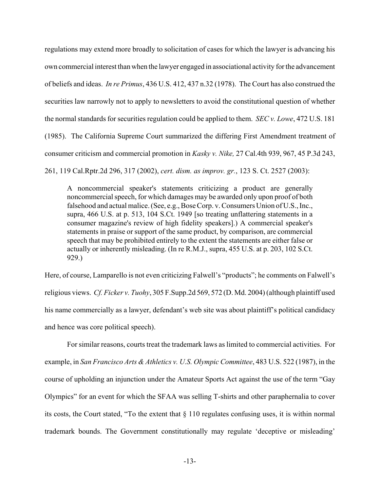regulations may extend more broadly to solicitation of cases for which the lawyer is advancing his own commercial interest than when the lawyer engaged in associational activity for the advancement of beliefs and ideas. *In re Primus*, 436 U.S. 412, 437 n.32 (1978). The Court has also construed the securities law narrowly not to apply to newsletters to avoid the constitutional question of whether the normal standards for securities regulation could be applied to them. *SEC v. Lowe*, 472 U.S. 181 (1985). The California Supreme Court summarized the differing First Amendment treatment of consumer criticism and commercial promotion in *Kasky v. Nike,* 27 Cal.4th 939, 967, 45 P.3d 243,

261, 119 Cal.Rptr.2d 296, 317 (2002), *cert. dism. as improv. gr.*, 123 S. Ct. 2527 (2003):

A noncommercial speaker's statements criticizing a product are generally noncommercial speech, for which damages may be awarded only upon proof of both falsehood and actual malice. (See, e.g., Bose Corp. v. Consumers Union of U.S., Inc., supra, 466 U.S. at p. 513, 104 S.Ct. 1949 [so treating unflattering statements in a consumer magazine's review of high fidelity speakers].) A commercial speaker's statements in praise or support of the same product, by comparison, are commercial speech that may be prohibited entirely to the extent the statements are either false or actually or inherently misleading. (In re R.M.J., supra, 455 U.S. at p. 203, 102 S.Ct. 929.)

Here, of course, Lamparello is not even criticizing Falwell's "products"; he comments on Falwell's religious views. *Cf. Ficker v. Tuohy*, 305 F.Supp.2d 569, 572 (D. Md. 2004) (although plaintiff used his name commercially as a lawyer, defendant's web site was about plaintiff's political candidacy and hence was core political speech).

For similar reasons, courts treat the trademark laws as limited to commercial activities. For example, in *San Francisco Arts & Athletics v. U.S. Olympic Committee*, 483 U.S. 522 (1987), in the course of upholding an injunction under the Amateur Sports Act against the use of the term "Gay Olympics" for an event for which the SFAA was selling T-shirts and other paraphernalia to cover its costs, the Court stated, "To the extent that § 110 regulates confusing uses, it is within normal trademark bounds. The Government constitutionally may regulate 'deceptive or misleading'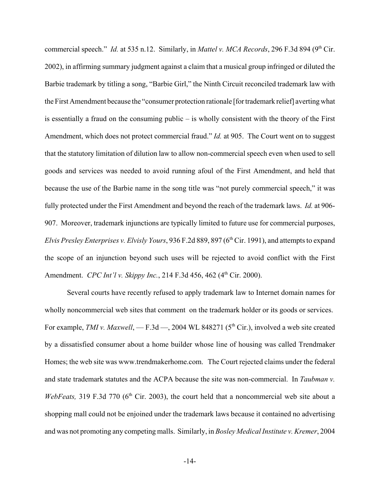commercial speech." *Id.* at 535 n.12. Similarly, in *Mattel v. MCA Records*, 296 F.3d 894 (9<sup>th</sup> Cir. 2002), in affirming summary judgment against a claim that a musical group infringed or diluted the Barbie trademark by titling a song, "Barbie Girl," the Ninth Circuit reconciled trademark law with the First Amendment because the "consumer protection rationale [for trademark relief] averting what is essentially a fraud on the consuming public – is wholly consistent with the theory of the First Amendment, which does not protect commercial fraud." *Id.* at 905. The Court went on to suggest that the statutory limitation of dilution law to allow non-commercial speech even when used to sell goods and services was needed to avoid running afoul of the First Amendment, and held that because the use of the Barbie name in the song title was "not purely commercial speech," it was fully protected under the First Amendment and beyond the reach of the trademark laws. *Id.* at 906- 907. Moreover, trademark injunctions are typically limited to future use for commercial purposes, *Elvis Presley Enterprises v. Elvisly Yours*, 936 F.2d 889, 897 (6<sup>th</sup> Cir. 1991), and attempts to expand the scope of an injunction beyond such uses will be rejected to avoid conflict with the First Amendment. *CPC Int'l v. Skippy Inc.*, 214 F.3d 456, 462 (4<sup>th</sup> Cir. 2000).

Several courts have recently refused to apply trademark law to Internet domain names for wholly noncommercial web sites that comment on the trademark holder or its goods or services. For example, *TMI v. Maxwell*, — F.3d —, 2004 WL 848271 (5<sup>th</sup> Cir.), involved a web site created by a dissatisfied consumer about a home builder whose line of housing was called Trendmaker Homes; the web site was www.trendmakerhome.com. The Court rejected claims under the federal and state trademark statutes and the ACPA because the site was non-commercial. In *Taubman v. WebFeats,* 319 F.3d 770 (6<sup>th</sup> Cir. 2003), the court held that a noncommercial web site about a shopping mall could not be enjoined under the trademark laws because it contained no advertising and was not promoting any competing malls. Similarly, in *Bosley Medical Institute v. Kremer*, 2004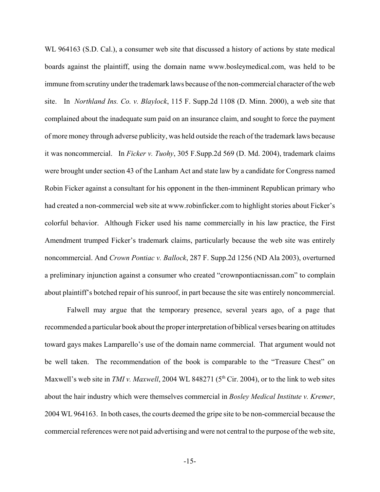WL 964163 (S.D. Cal.), a consumer web site that discussed a history of actions by state medical boards against the plaintiff, using the domain name www.bosleymedical.com, was held to be immune from scrutiny under the trademark laws because of the non-commercial character of the web site. In *Northland Ins. Co. v. Blaylock*, 115 F. Supp.2d 1108 (D. Minn. 2000), a web site that complained about the inadequate sum paid on an insurance claim, and sought to force the payment of more money through adverse publicity, was held outside the reach of the trademark laws because it was noncommercial. In *Ficker v. Tuohy*, 305 F.Supp.2d 569 (D. Md. 2004), trademark claims were brought under section 43 of the Lanham Act and state law by a candidate for Congress named Robin Ficker against a consultant for his opponent in the then-imminent Republican primary who had created a non-commercial web site at www.robinficker.com to highlight stories about Ficker's colorful behavior. Although Ficker used his name commercially in his law practice, the First Amendment trumped Ficker's trademark claims, particularly because the web site was entirely noncommercial. And *Crown Pontiac v. Ballock*, 287 F. Supp.2d 1256 (ND Ala 2003), overturned a preliminary injunction against a consumer who created "crownpontiacnissan.com" to complain about plaintiff's botched repair of his sunroof, in part because the site was entirely noncommercial.

Falwell may argue that the temporary presence, several years ago, of a page that recommended a particular book about the proper interpretation of biblical verses bearing on attitudes toward gays makes Lamparello's use of the domain name commercial. That argument would not be well taken. The recommendation of the book is comparable to the "Treasure Chest" on Maxwell's web site in *TMI v. Maxwell*, 2004 WL 848271 (5<sup>th</sup> Cir. 2004), or to the link to web sites about the hair industry which were themselves commercial in *Bosley Medical Institute v. Kremer*, 2004 WL 964163. In both cases, the courts deemed the gripe site to be non-commercial because the commercial references were not paid advertising and were not central to the purpose of the web site,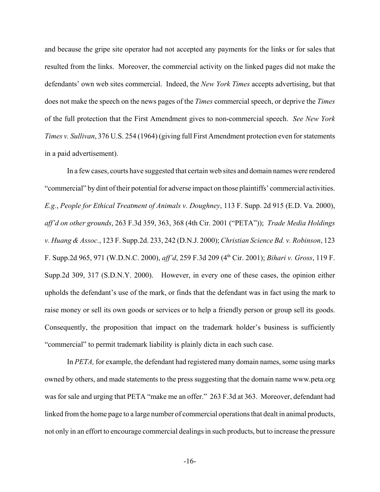and because the gripe site operator had not accepted any payments for the links or for sales that resulted from the links. Moreover, the commercial activity on the linked pages did not make the defendants' own web sites commercial. Indeed, the *New York Times* accepts advertising, but that does not make the speech on the news pages of the *Times* commercial speech, or deprive the *Times* of the full protection that the First Amendment gives to non-commercial speech. *See New York Times v. Sullivan*, 376 U.S. 254 (1964) (giving full First Amendment protection even for statements in a paid advertisement).

In a few cases, courts have suggested that certain web sites and domain names were rendered "commercial" by dint of their potential for adverse impact on those plaintiffs' commercial activities. *E.g.*, *People for Ethical Treatment of Animals v. Doughney*, 113 F. Supp. 2d 915 (E.D. Va. 2000), *aff'd on other grounds*, 263 F.3d 359, 363, 368 (4th Cir. 2001 ("PETA")); *Trade Media Holdings v. Huang & Assoc.*, 123 F. Supp.2d. 233, 242 (D.N.J. 2000); *Christian Science Bd. v. Robinson*, 123 F. Supp.2d 965, 971 (W.D.N.C. 2000), *aff'd*, 259 F.3d 209 (4th Cir. 2001); *Bihari v. Gross*, 119 F. Supp.2d 309, 317 (S.D.N.Y. 2000). However, in every one of these cases, the opinion either upholds the defendant's use of the mark, or finds that the defendant was in fact using the mark to raise money or sell its own goods or services or to help a friendly person or group sell its goods. Consequently, the proposition that impact on the trademark holder's business is sufficiently "commercial" to permit trademark liability is plainly dicta in each such case.

In *PETA,* for example, the defendant had registered many domain names, some using marks owned by others, and made statements to the press suggesting that the domain name www.peta.org was for sale and urging that PETA "make me an offer." 263 F.3d at 363. Moreover, defendant had linked from the home page to a large number of commercial operations that dealt in animal products, not only in an effort to encourage commercial dealings in such products, but to increase the pressure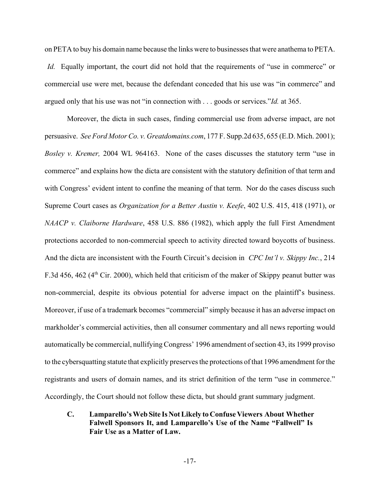on PETA to buy his domain name because the links were to businesses that were anathema to PETA. *Id.* Equally important, the court did not hold that the requirements of "use in commerce" or commercial use were met, because the defendant conceded that his use was "in commerce" and argued only that his use was not "in connection with . . . goods or services."*Id.* at 365.

Moreover, the dicta in such cases, finding commercial use from adverse impact, are not persuasive. *See Ford Motor Co. v. Greatdomains.com*, 177 F. Supp.2d 635, 655 (E.D. Mich. 2001); *Bosley v. Kremer,* 2004 WL 964163. None of the cases discusses the statutory term "use in commerce" and explains how the dicta are consistent with the statutory definition of that term and with Congress' evident intent to confine the meaning of that term. Nor do the cases discuss such Supreme Court cases as *Organization for a Better Austin v. Keefe*, 402 U.S. 415, 418 (1971), or *NAACP v. Claiborne Hardware*, 458 U.S. 886 (1982), which apply the full First Amendment protections accorded to non-commercial speech to activity directed toward boycotts of business. And the dicta are inconsistent with the Fourth Circuit's decision in *CPC Int'l v. Skippy Inc.*, 214 F.3d 456, 462 (4<sup>th</sup> Cir. 2000), which held that criticism of the maker of Skippy peanut butter was non-commercial, despite its obvious potential for adverse impact on the plaintiff's business. Moreover, if use of a trademark becomes "commercial" simply because it has an adverse impact on markholder's commercial activities, then all consumer commentary and all news reporting would automatically be commercial, nullifying Congress' 1996 amendment of section 43, its 1999 proviso to the cybersquatting statute that explicitly preserves the protections of that 1996 amendment for the registrants and users of domain names, and its strict definition of the term "use in commerce." Accordingly, the Court should not follow these dicta, but should grant summary judgment.

**C. Lamparello's Web Site Is Not Likely to Confuse Viewers About Whether Falwell Sponsors It, and Lamparello's Use of the Name "Fallwell" Is Fair Use as a Matter of Law.**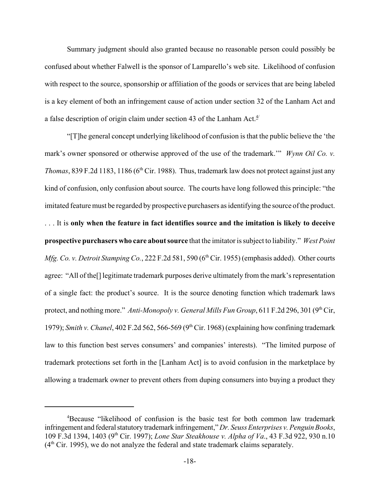Summary judgment should also granted because no reasonable person could possibly be confused about whether Falwell is the sponsor of Lamparello's web site. Likelihood of confusion with respect to the source, sponsorship or affiliation of the goods or services that are being labeled is a key element of both an infringement cause of action under section 32 of the Lanham Act and a false description of origin claim under section 43 of the Lanham Act. $4/4$ 

"[T]he general concept underlying likelihood of confusion is that the public believe the 'the mark's owner sponsored or otherwise approved of the use of the trademark.'" *Wynn Oil Co. v. Thomas*, 839 F.2d 1183, 1186 (6<sup>th</sup> Cir. 1988). Thus, trademark law does not protect against just any kind of confusion, only confusion about source. The courts have long followed this principle: "the imitated feature must be regarded by prospective purchasers as identifying the source of the product. . . . It is **only when the feature in fact identifies source and the imitation is likely to deceive prospective purchasers who care about source** that the imitator is subject to liability." *West Point Mfg. Co. v. Detroit Stamping Co.*, 222 F.2d 581, 590 ( $6<sup>th</sup> Cir.$  1955) (emphasis added). Other courts agree: "All of the[] legitimate trademark purposes derive ultimately from the mark's representation of a single fact: the product's source. It is the source denoting function which trademark laws protect, and nothing more." *Anti-Monopoly v. General Mills Fun Group*, 611 F.2d 296, 301 (9<sup>th</sup> Cir, 1979); *Smith v. Chanel*, 402 F.2d 562, 566-569 (9<sup>th</sup> Cir. 1968) (explaining how confining trademark law to this function best serves consumers' and companies' interests). "The limited purpose of trademark protections set forth in the [Lanham Act] is to avoid confusion in the marketplace by allowing a trademark owner to prevent others from duping consumers into buying a product they

<sup>4</sup> Because "likelihood of confusion is the basic test for both common law trademark infringement and federal statutory trademark infringement," *Dr. Seuss Enterprises v. Penguin Books*, 109 F.3d 1394, 1403 (9th Cir. 1997); *Lone Star Steakhouse v. Alpha of Va*., 43 F.3d 922, 930 n.10  $(4<sup>th</sup> Cir. 1995)$ , we do not analyze the federal and state trademark claims separately.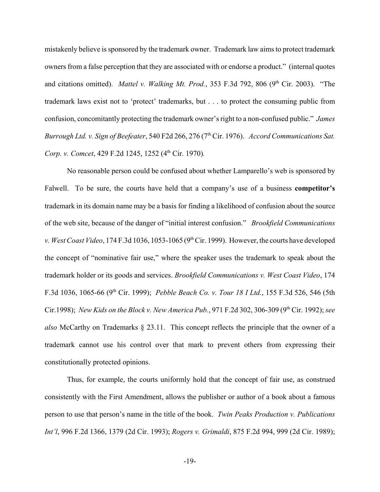mistakenly believe is sponsored by the trademark owner. Trademark law aims to protect trademark owners from a false perception that they are associated with or endorse a product." (internal quotes and citations omitted). *Mattel v. Walking Mt. Prod.*, 353 F.3d 792, 806 (9<sup>th</sup> Cir. 2003). "The trademark laws exist not to 'protect' trademarks, but . . . to protect the consuming public from confusion, concomitantly protecting the trademark owner's right to a non-confused public." *James Burrough Ltd. v. Sign of Beefeater*, 540 F2d 266, 276 (7th Cir. 1976). *Accord Communications Sat. Corp. v. Comcet*, 429 F.2d 1245, 1252 (4<sup>th</sup> Cir. 1970)*.* 

No reasonable person could be confused about whether Lamparello's web is sponsored by Falwell. To be sure, the courts have held that a company's use of a business **competitor's** trademark in its domain name may be a basis for finding a likelihood of confusion about the source of the web site, because of the danger of "initial interest confusion." *Brookfield Communications v. West Coast Video*, 174 F.3d 1036, 1053-1065 (9<sup>th</sup> Cir. 1999). However, the courts have developed the concept of "nominative fair use," where the speaker uses the trademark to speak about the trademark holder or its goods and services. *Brookfield Communications v. West Coast Video*, 174 F.3d 1036, 1065-66 (9th Cir. 1999); *Pebble Beach Co. v. Tour 18 I Ltd.*, 155 F.3d 526, 546 (5th Cir.1998); *New Kids on the Block v. New America Pub.*, 971 F.2d 302, 306-309 (9<sup>th</sup> Cir. 1992); *see also* McCarthy on Trademarks § 23.11. This concept reflects the principle that the owner of a trademark cannot use his control over that mark to prevent others from expressing their constitutionally protected opinions.

Thus, for example, the courts uniformly hold that the concept of fair use, as construed consistently with the First Amendment, allows the publisher or author of a book about a famous person to use that person's name in the title of the book. *Twin Peaks Production v. Publications Int'l*, 996 F.2d 1366, 1379 (2d Cir. 1993); *Rogers v. Grimaldi*, 875 F.2d 994, 999 (2d Cir. 1989);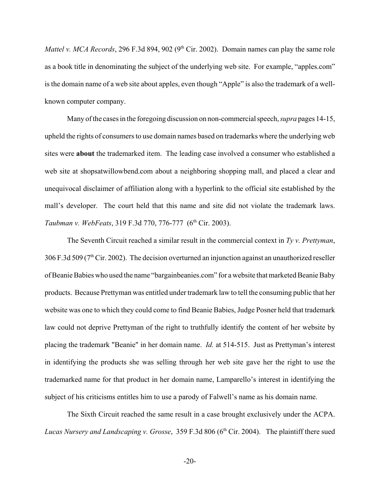*Mattel v. MCA Records*, 296 F.3d 894, 902 (9<sup>th</sup> Cir. 2002). Domain names can play the same role as a book title in denominating the subject of the underlying web site. For example, "apples.com" is the domain name of a web site about apples, even though "Apple" is also the trademark of a wellknown computer company.

Many of the cases in the foregoing discussion on non-commercial speech, *supra* pages 14-15, upheld the rights of consumers to use domain names based on trademarks where the underlying web sites were **about** the trademarked item. The leading case involved a consumer who established a web site at shopsatwillowbend.com about a neighboring shopping mall, and placed a clear and unequivocal disclaimer of affiliation along with a hyperlink to the official site established by the mall's developer. The court held that this name and site did not violate the trademark laws. *Taubman v. WebFeats*, 319 F.3d 770, 776-777 (6<sup>th</sup> Cir. 2003).

The Seventh Circuit reached a similar result in the commercial context in *Ty v. Prettyman*,  $306$  F.3d  $509$  ( $7<sup>th</sup>$  Cir. 2002). The decision overturned an injunction against an unauthorized reseller of Beanie Babies who used the name "bargainbeanies.com" for a website that marketed Beanie Baby products. Because Prettyman was entitled under trademark law to tell the consuming public that her website was one to which they could come to find Beanie Babies, Judge Posner held that trademark law could not deprive Prettyman of the right to truthfully identify the content of her website by placing the trademark "Beanie" in her domain name. *Id.* at 514-515. Just as Prettyman's interest in identifying the products she was selling through her web site gave her the right to use the trademarked name for that product in her domain name, Lamparello's interest in identifying the subject of his criticisms entitles him to use a parody of Falwell's name as his domain name.

The Sixth Circuit reached the same result in a case brought exclusively under the ACPA. *Lucas Nursery and Landscaping v. Grosse,* 359 F.3d 806 (6<sup>th</sup> Cir. 2004). The plaintiff there sued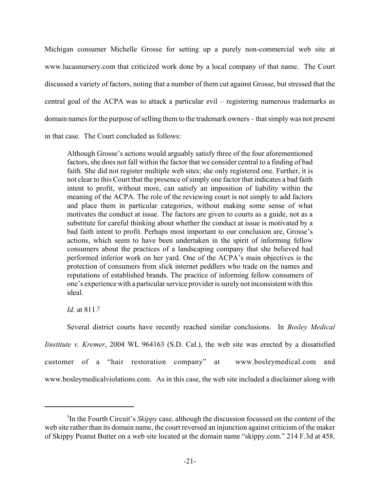Michigan consumer Michelle Grosse for setting up a purely non-commercial web site at www.lucasnursery.com that criticized work done by a local company of that name. The Court discussed a variety of factors, noting that a number of them cut against Grosse, but stressed that the central goal of the ACPA was to attack a particular evil – registering numerous trademarks as domain names for the purpose of selling them to the trademark owners – that simply was not present in that case. The Court concluded as follows:

Although Grosse's actions would arguably satisfy three of the four aforementioned factors, she does not fall within the factor that we consider central to a finding of bad faith. She did not register multiple web sites; she only registered one. Further, it is not clear to this Court that the presence of simply one factor that indicates a bad faith intent to profit, without more, can satisfy an imposition of liability within the meaning of the ACPA. The role of the reviewing court is not simply to add factors and place them in particular categories, without making some sense of what motivates the conduct at issue. The factors are given to courts as a guide, not as a substitute for careful thinking about whether the conduct at issue is motivated by a bad faith intent to profit. Perhaps most important to our conclusion are, Grosse's actions, which seem to have been undertaken in the spirit of informing fellow consumers about the practices of a landscaping company that she believed had performed inferior work on her yard. One of the ACPA's main objectives is the protection of consumers from slick internet peddlers who trade on the names and reputations of established brands. The practice of informing fellow consumers of one's experience with a particular service provider is surely not inconsistent with this ideal.

*Id.* at 811 $\frac{5}{1}$ 

Several district courts have recently reached similar conclusions. In *Bosley Medical Iinstitute v. Kremer*, 2004 WL 964163 (S.D. Cal.), the web site was erected by a dissatisfied customer of a "hair restoration company" at www.bosleymedical.com and www.bosleymedicalviolations.com. As in this case, the web site included a disclaimer along with

<sup>5</sup> In the Fourth Circuit's *Skippy* case, although the discussion focussed on the content of the web site rather than its domain name, the court reversed an injunction against criticism of the maker of Skippy Peanut Butter on a web site located at the domain name "skippy.com." 214 F.3d at 458.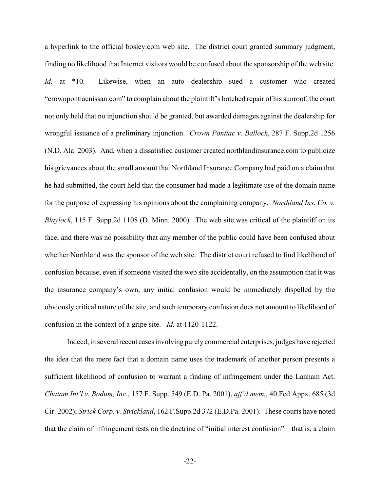a hyperlink to the official bosley.com web site. The district court granted summary judgment, finding no likelihood that Internet visitors would be confused about the sponsorship of the web site. *Id.* at \*10. Likewise, when an auto dealership sued a customer who created "crownpontiacnissan.com" to complain about the plaintiff's botched repair of his sunroof, the court not only held that no injunction should be granted, but awarded damages against the dealership for wrongful issuance of a preliminary injunction. *Crown Pontiac v. Ballock*, 287 F. Supp.2d 1256 (N.D. Ala. 2003). And, when a dissatisfied customer created northlandinsurance.com to publicize his grievances about the small amount that Northland Insurance Company had paid on a claim that he had submitted, the court held that the consumer had made a legitimate use of the domain name for the purpose of expressing his opinions about the complaining company. *Northland Ins. Co. v. Blaylock*, 115 F. Supp.2d 1108 (D. Minn. 2000). The web site was critical of the plaintiff on its face, and there was no possibility that any member of the public could have been confused about whether Northland was the sponsor of the web site. The district court refused to find likelihood of confusion because, even if someone visited the web site accidentally, on the assumption that it was the insurance company's own, any initial confusion would be immediately dispelled by the obviously critical nature of the site, and such temporary confusion does not amount to likelihood of confusion in the context of a gripe site. *Id.* at 1120-1122.

Indeed, in several recent cases involving purely commercial enterprises, judges have rejected the idea that the mere fact that a domain name uses the trademark of another person presents a sufficient likelihood of confusion to warrant a finding of infringement under the Lanham Act. *Chatam Int'l v. Bodum, Inc.*, 157 F. Supp. 549 (E.D. Pa. 2001), *aff'd mem.*, 40 Fed.Appx. 685 (3d Cir. 2002); *Strick Corp. v. Strickland*, 162 F.Supp.2d 372 (E.D.Pa. 2001). These courts have noted that the claim of infringement rests on the doctrine of "initial interest confusion" – that is, a claim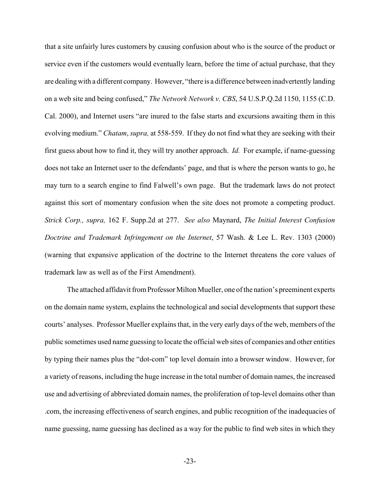that a site unfairly lures customers by causing confusion about who is the source of the product or service even if the customers would eventually learn, before the time of actual purchase, that they are dealing with a different company. However, "there is a difference between inadvertently landing on a web site and being confused," *The Network Network v. CBS*, 54 U.S.P.Q.2d 1150, 1155 (C.D. Cal. 2000), and Internet users "are inured to the false starts and excursions awaiting them in this evolving medium." *Chatam*, *supra,* at 558-559. If they do not find what they are seeking with their first guess about how to find it, they will try another approach. *Id.* For example, if name-guessing does not take an Internet user to the defendants' page, and that is where the person wants to go, he may turn to a search engine to find Falwell's own page. But the trademark laws do not protect against this sort of momentary confusion when the site does not promote a competing product. *Strick Corp., supra,* 162 F. Supp.2d at 277. *See also* Maynard, *The Initial Interest Confusion Doctrine and Trademark Infringement on the Internet*, 57 Wash. & Lee L. Rev. 1303 (2000) (warning that expansive application of the doctrine to the Internet threatens the core values of trademark law as well as of the First Amendment).

The attached affidavit from Professor Milton Mueller, one of the nation's preeminent experts on the domain name system, explains the technological and social developments that support these courts' analyses. Professor Mueller explains that, in the very early days of the web, members of the public sometimes used name guessing to locate the official web sites of companies and other entities by typing their names plus the "dot-com" top level domain into a browser window. However, for a variety of reasons, including the huge increase in the total number of domain names, the increased use and advertising of abbreviated domain names, the proliferation of top-level domains other than .com, the increasing effectiveness of search engines, and public recognition of the inadequacies of name guessing, name guessing has declined as a way for the public to find web sites in which they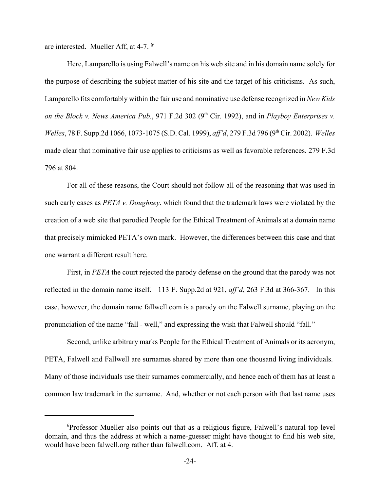are interested. Mueller Aff, at 4-7.  $\frac{6}{7}$ 

Here, Lamparello is using Falwell's name on his web site and in his domain name solely for the purpose of describing the subject matter of his site and the target of his criticisms. As such, Lamparello fits comfortably within the fair use and nominative use defense recognized in *New Kids on the Block v. News America Pub.*, 971 F.2d 302 (9<sup>th</sup> Cir. 1992), and in *Playboy Enterprises v. Welles*, 78 F. Supp.2d 1066, 1073-1075 (S.D. Cal. 1999), *aff'd*, 279 F.3d 796 (9th Cir. 2002). *Welles* made clear that nominative fair use applies to criticisms as well as favorable references. 279 F.3d 796 at 804.

For all of these reasons, the Court should not follow all of the reasoning that was used in such early cases as *PETA v. Doughney*, which found that the trademark laws were violated by the creation of a web site that parodied People for the Ethical Treatment of Animals at a domain name that precisely mimicked PETA's own mark. However, the differences between this case and that one warrant a different result here.

First, in *PETA* the court rejected the parody defense on the ground that the parody was not reflected in the domain name itself. 113 F. Supp.2d at 921, *aff'd*, 263 F.3d at 366-367. In this case, however, the domain name fallwell.com is a parody on the Falwell surname, playing on the pronunciation of the name "fall - well," and expressing the wish that Falwell should "fall."

Second, unlike arbitrary marks People for the Ethical Treatment of Animals or its acronym, PETA, Falwell and Fallwell are surnames shared by more than one thousand living individuals. Many of those individuals use their surnames commercially, and hence each of them has at least a common law trademark in the surname. And, whether or not each person with that last name uses

<sup>6</sup> Professor Mueller also points out that as a religious figure, Falwell's natural top level domain, and thus the address at which a name-guesser might have thought to find his web site, would have been falwell.org rather than falwell.com. Aff. at 4.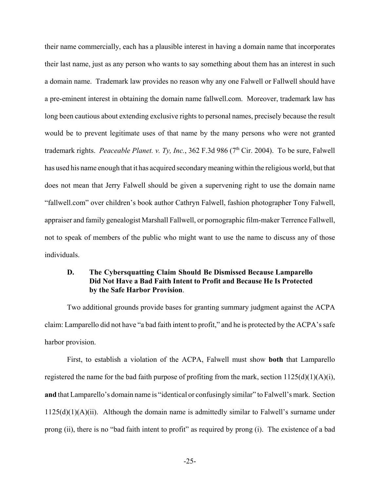their name commercially, each has a plausible interest in having a domain name that incorporates their last name, just as any person who wants to say something about them has an interest in such a domain name. Trademark law provides no reason why any one Falwell or Fallwell should have a pre-eminent interest in obtaining the domain name fallwell.com. Moreover, trademark law has long been cautious about extending exclusive rights to personal names, precisely because the result would be to prevent legitimate uses of that name by the many persons who were not granted trademark rights. *Peaceable Planet. v. Ty, Inc.*, 362 F.3d 986 (7<sup>th</sup> Cir. 2004). To be sure, Falwell has used his name enough that it has acquired secondary meaning within the religious world, but that does not mean that Jerry Falwell should be given a supervening right to use the domain name "fallwell.com" over children's book author Cathryn Falwell, fashion photographer Tony Falwell, appraiser and family genealogist Marshall Fallwell, or pornographic film-maker Terrence Fallwell, not to speak of members of the public who might want to use the name to discuss any of those individuals.

# **D. The Cybersquatting Claim Should Be Dismissed Because Lamparello Did Not Have a Bad Faith Intent to Profit and Because He Is Protected by the Safe Harbor Provision**.

Two additional grounds provide bases for granting summary judgment against the ACPA claim: Lamparello did not have "a bad faith intent to profit," and he is protected by the ACPA's safe harbor provision.

First, to establish a violation of the ACPA, Falwell must show **both** that Lamparello registered the name for the bad faith purpose of profiting from the mark, section  $1125(d)(1)(A)(i)$ , **and** that Lamparello's domain name is "identical or confusingly similar" to Falwell's mark. Section  $1125(d)(1)(A)(ii)$ . Although the domain name is admittedly similar to Falwell's surname under prong (ii), there is no "bad faith intent to profit" as required by prong (i). The existence of a bad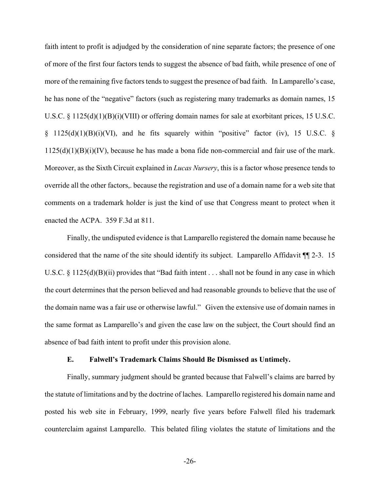faith intent to profit is adjudged by the consideration of nine separate factors; the presence of one of more of the first four factors tends to suggest the absence of bad faith, while presence of one of more of the remaining five factors tends to suggest the presence of bad faith. In Lamparello's case, he has none of the "negative" factors (such as registering many trademarks as domain names, 15 U.S.C. § 1125(d)(1)(B)(i)(VIII) or offering domain names for sale at exorbitant prices, 15 U.S.C.  $\S$  1125(d)(1)(B)(i)(VI), and he fits squarely within "positive" factor (iv), 15 U.S.C.  $\S$  $1125(d)(1)(B)(i)(IV)$ , because he has made a bona fide non-commercial and fair use of the mark. Moreover, as the Sixth Circuit explained in *Lucas Nursery*, this is a factor whose presence tends to override all the other factors,. because the registration and use of a domain name for a web site that comments on a trademark holder is just the kind of use that Congress meant to protect when it enacted the ACPA. 359 F.3d at 811.

Finally, the undisputed evidence is that Lamparello registered the domain name because he considered that the name of the site should identify its subject. Lamparello Affidavit ¶¶ 2-3. 15 U.S.C. § 1125(d)(B)(ii) provides that "Bad faith intent . . . shall not be found in any case in which the court determines that the person believed and had reasonable grounds to believe that the use of the domain name was a fair use or otherwise lawful." Given the extensive use of domain names in the same format as Lamparello's and given the case law on the subject, the Court should find an absence of bad faith intent to profit under this provision alone.

#### **E. Falwell's Trademark Claims Should Be Dismissed as Untimely.**

Finally, summary judgment should be granted because that Falwell's claims are barred by the statute of limitations and by the doctrine of laches. Lamparello registered his domain name and posted his web site in February, 1999, nearly five years before Falwell filed his trademark counterclaim against Lamparello. This belated filing violates the statute of limitations and the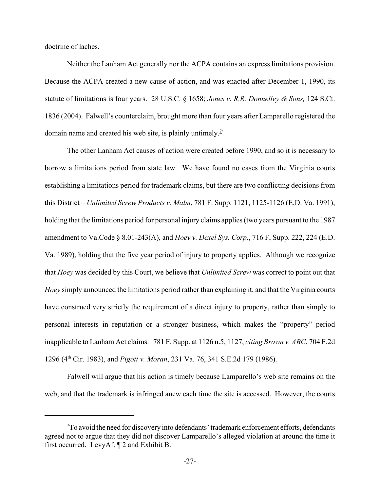doctrine of laches.

Neither the Lanham Act generally nor the ACPA contains an express limitations provision. Because the ACPA created a new cause of action, and was enacted after December 1, 1990, its statute of limitations is four years. 28 U.S.C. § 1658; *Jones v. R.R. Donnelley & Sons,* 124 S.Ct. 1836 (2004). Falwell's counterclaim, brought more than four years after Lamparello registered the domain name and created his web site, is plainly untimely.<sup> $\frac{\pi}{2}$ </sup>

The other Lanham Act causes of action were created before 1990, and so it is necessary to borrow a limitations period from state law. We have found no cases from the Virginia courts establishing a limitations period for trademark claims, but there are two conflicting decisions from this District – *Unlimited Screw Products v. Malm*, 781 F. Supp. 1121, 1125-1126 (E.D. Va. 1991), holding that the limitations period for personal injury claims applies (two years pursuant to the 1987 amendment to Va.Code § 8.01-243(A), and *Hoey v. Dexel Sys. Corp.*, 716 F, Supp. 222, 224 (E.D. Va. 1989), holding that the five year period of injury to property applies. Although we recognize that *Hoey* was decided by this Court, we believe that *Unlimited Screw* was correct to point out that *Hoey* simply announced the limitations period rather than explaining it, and that the Virginia courts have construed very strictly the requirement of a direct injury to property, rather than simply to personal interests in reputation or a stronger business, which makes the "property" period inapplicable to Lanham Act claims. 781 F. Supp. at 1126 n.5, 1127, *citing Brown v. ABC*, 704 F.2d 1296 (4th Cir. 1983), and *Pigott v. Moran*, 231 Va. 76, 341 S.E.2d 179 (1986).

Falwell will argue that his action is timely because Lamparello's web site remains on the web, and that the trademark is infringed anew each time the site is accessed. However, the courts

 $7$ To avoid the need for discovery into defendants' trademark enforcement efforts, defendants agreed not to argue that they did not discover Lamparello's alleged violation at around the time it first occurred. LevyAf. ¶ 2 and Exhibit B.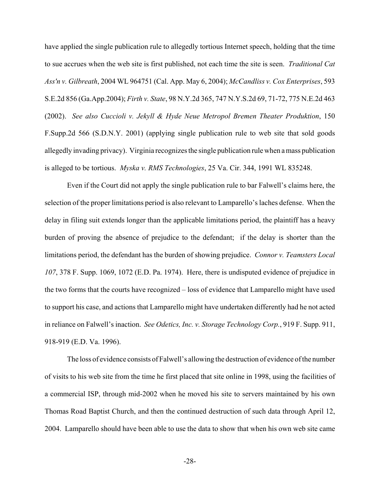have applied the single publication rule to allegedly tortious Internet speech, holding that the time to sue accrues when the web site is first published, not each time the site is seen. *Traditional Cat Ass'n v. Gilbreath*, 2004 WL 964751 (Cal. App. May 6, 2004); *McCandliss v. Cox Enterprises*, 593 S.E.2d 856 (Ga.App.2004); *Firth v. State*, 98 N.Y.2d 365, 747 N.Y.S.2d 69, 71-72, 775 N.E.2d 463 (2002). *See also Cuccioli v. Jekyll & Hyde Neue Metropol Bremen Theater Produktion*, 150 F.Supp.2d 566 (S.D.N.Y. 2001) (applying single publication rule to web site that sold goods allegedly invading privacy). Virginia recognizes the single publication rule when a mass publication is alleged to be tortious. *Myska v. RMS Technologies*, 25 Va. Cir. 344, 1991 WL 835248.

Even if the Court did not apply the single publication rule to bar Falwell's claims here, the selection of the proper limitations period is also relevant to Lamparello's laches defense. When the delay in filing suit extends longer than the applicable limitations period, the plaintiff has a heavy burden of proving the absence of prejudice to the defendant; if the delay is shorter than the limitations period, the defendant has the burden of showing prejudice. *Connor v. Teamsters Local 107*, 378 F. Supp. 1069, 1072 (E.D. Pa. 1974). Here, there is undisputed evidence of prejudice in the two forms that the courts have recognized – loss of evidence that Lamparello might have used to support his case, and actions that Lamparello might have undertaken differently had he not acted in reliance on Falwell's inaction. *See Odetics, Inc. v. Storage Technology Corp.*, 919 F. Supp. 911, 918-919 (E.D. Va. 1996).

The loss of evidence consists of Falwell's allowing the destruction of evidence of the number of visits to his web site from the time he first placed that site online in 1998, using the facilities of a commercial ISP, through mid-2002 when he moved his site to servers maintained by his own Thomas Road Baptist Church, and then the continued destruction of such data through April 12, 2004. Lamparello should have been able to use the data to show that when his own web site came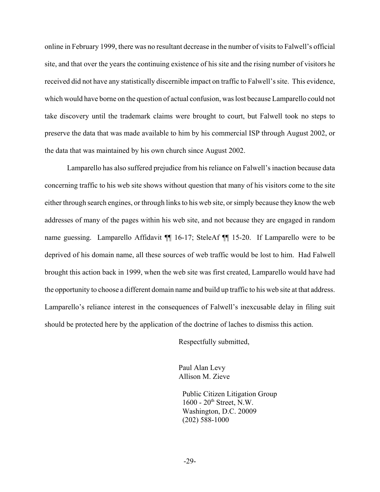online in February 1999, there was no resultant decrease in the number of visits to Falwell's official site, and that over the years the continuing existence of his site and the rising number of visitors he received did not have any statistically discernible impact on traffic to Falwell's site. This evidence, which would have borne on the question of actual confusion, was lost because Lamparello could not take discovery until the trademark claims were brought to court, but Falwell took no steps to preserve the data that was made available to him by his commercial ISP through August 2002, or the data that was maintained by his own church since August 2002.

Lamparello has also suffered prejudice from his reliance on Falwell's inaction because data concerning traffic to his web site shows without question that many of his visitors come to the site either through search engines, or through links to his web site, or simply because they know the web addresses of many of the pages within his web site, and not because they are engaged in random name guessing. Lamparello Affidavit ¶ 16-17; SteleAf ¶ 15-20. If Lamparello were to be deprived of his domain name, all these sources of web traffic would be lost to him. Had Falwell brought this action back in 1999, when the web site was first created, Lamparello would have had the opportunity to choose a different domain name and build up traffic to his web site at that address. Lamparello's reliance interest in the consequences of Falwell's inexcusable delay in filing suit should be protected here by the application of the doctrine of laches to dismiss this action.

Respectfully submitted,

Paul Alan Levy Allison M. Zieve

 Public Citizen Litigation Group  $1600 - 20$ <sup>th</sup> Street, N.W. Washington, D.C. 20009 (202) 588-1000